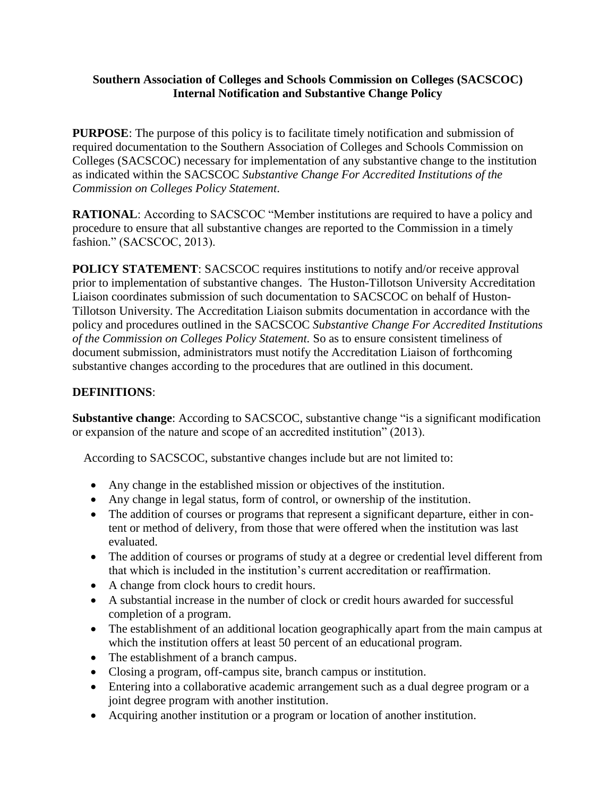#### **Southern Association of Colleges and Schools Commission on Colleges (SACSCOC) Internal Notification and Substantive Change Policy**

**PURPOSE:** The purpose of this policy is to facilitate timely notification and submission of required documentation to the Southern Association of Colleges and Schools Commission on Colleges (SACSCOC) necessary for implementation of any substantive change to the institution as indicated within the SACSCOC *Substantive Change For Accredited Institutions of the Commission on Colleges Policy Statement*.

**RATIONAL:** According to SACSCOC "Member institutions are required to have a policy and procedure to ensure that all substantive changes are reported to the Commission in a timely fashion." (SACSCOC, 2013).

**POLICY STATEMENT:** SACSCOC requires institutions to notify and/or receive approval prior to implementation of substantive changes. The Huston-Tillotson University Accreditation Liaison coordinates submission of such documentation to SACSCOC on behalf of Huston-Tillotson University. The Accreditation Liaison submits documentation in accordance with the policy and procedures outlined in the SACSCOC *Substantive Change For Accredited Institutions of the Commission on Colleges Policy Statement.* So as to ensure consistent timeliness of document submission, administrators must notify the Accreditation Liaison of forthcoming substantive changes according to the procedures that are outlined in this document.

# **DEFINITIONS**:

**Substantive change**: According to SACSCOC, substantive change "is a significant modification or expansion of the nature and scope of an accredited institution" (2013).

According to SACSCOC, substantive changes include but are not limited to:

- Any change in the established mission or objectives of the institution.
- Any change in legal status, form of control, or ownership of the institution.
- The addition of courses or programs that represent a significant departure, either in content or method of delivery, from those that were offered when the institution was last evaluated.
- The addition of courses or programs of study at a degree or credential level different from that which is included in the institution's current accreditation or reaffirmation.
- A change from clock hours to credit hours.
- A substantial increase in the number of clock or credit hours awarded for successful completion of a program.
- The establishment of an additional location geographically apart from the main campus at which the institution offers at least 50 percent of an educational program.
- The establishment of a branch campus.
- Closing a program, off-campus site, branch campus or institution.
- Entering into a collaborative academic arrangement such as a dual degree program or a joint degree program with another institution.
- Acquiring another institution or a program or location of another institution.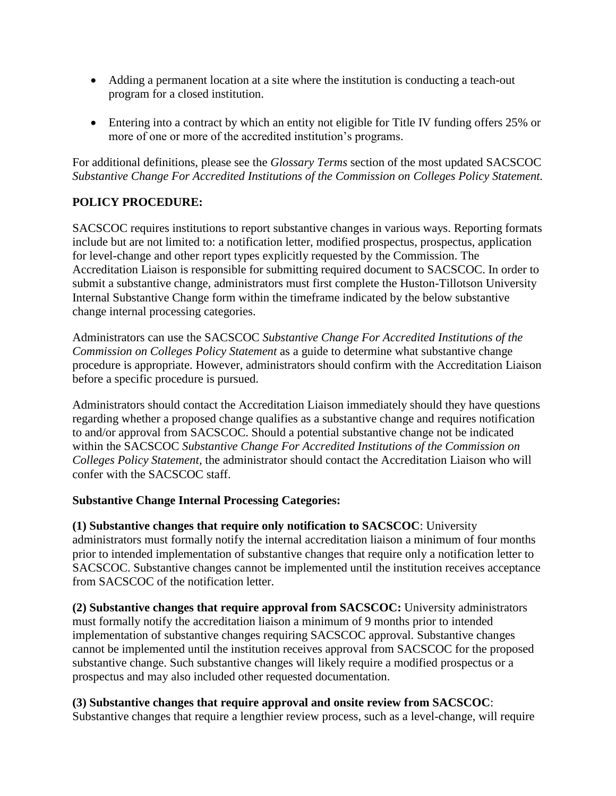- Adding a permanent location at a site where the institution is conducting a teach-out program for a closed institution.
- Entering into a contract by which an entity not eligible for Title IV funding offers 25% or more of one or more of the accredited institution's programs.

For additional definitions, please see the *Glossary Terms* section of the most updated SACSCOC *Substantive Change For Accredited Institutions of the Commission on Colleges Policy Statement.*

# **POLICY PROCEDURE:**

SACSCOC requires institutions to report substantive changes in various ways. Reporting formats include but are not limited to: a notification letter, modified prospectus, prospectus, application for level-change and other report types explicitly requested by the Commission. The Accreditation Liaison is responsible for submitting required document to SACSCOC. In order to submit a substantive change, administrators must first complete the Huston-Tillotson University Internal Substantive Change form within the timeframe indicated by the below substantive change internal processing categories.

Administrators can use the SACSCOC *Substantive Change For Accredited Institutions of the Commission on Colleges Policy Statement* as a guide to determine what substantive change procedure is appropriate. However, administrators should confirm with the Accreditation Liaison before a specific procedure is pursued.

Administrators should contact the Accreditation Liaison immediately should they have questions regarding whether a proposed change qualifies as a substantive change and requires notification to and/or approval from SACSCOC. Should a potential substantive change not be indicated within the SACSCOC *Substantive Change For Accredited Institutions of the Commission on Colleges Policy Statement,* the administrator should contact the Accreditation Liaison who will confer with the SACSCOC staff.

### **Substantive Change Internal Processing Categories:**

**(1) Substantive changes that require only notification to SACSCOC**: University administrators must formally notify the internal accreditation liaison a minimum of four months prior to intended implementation of substantive changes that require only a notification letter to SACSCOC. Substantive changes cannot be implemented until the institution receives acceptance from SACSCOC of the notification letter.

**(2) Substantive changes that require approval from SACSCOC:** University administrators must formally notify the accreditation liaison a minimum of 9 months prior to intended implementation of substantive changes requiring SACSCOC approval. Substantive changes cannot be implemented until the institution receives approval from SACSCOC for the proposed substantive change. Such substantive changes will likely require a modified prospectus or a prospectus and may also included other requested documentation.

### **(3) Substantive changes that require approval and onsite review from SACSCOC**:

Substantive changes that require a lengthier review process, such as a level-change, will require